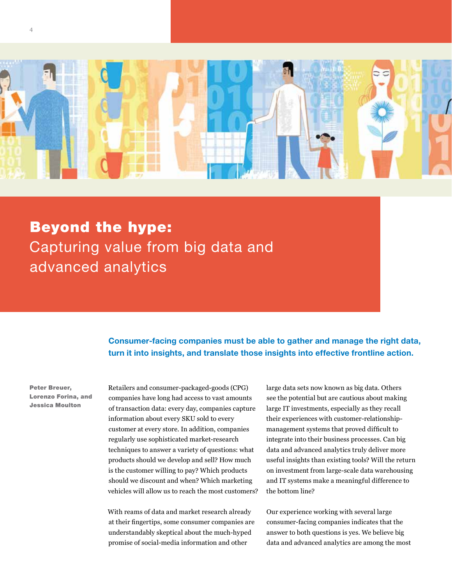

Beyond the hype: Capturing value from big data and advanced analytics

> Consumer-facing companies must be able to gather and manage the right data, turn it into insights, and translate those insights into effective frontline action.

Peter Breuer, Lorenzo Forina, and Jessica Moulton

Retailers and consumer-packaged-goods (CPG) companies have long had access to vast amounts of transaction data: every day, companies capture information about every SKU sold to every customer at every store. In addition, companies regularly use sophisticated market-research techniques to answer a variety of questions: what products should we develop and sell? How much is the customer willing to pay? Which products should we discount and when? Which marketing vehicles will allow us to reach the most customers?

With reams of data and market research already at their fingertips, some consumer companies are understandably skeptical about the much-hyped promise of social-media information and other

large data sets now known as big data. Others see the potential but are cautious about making large IT investments, especially as they recall their experiences with customer-relationshipmanagement systems that proved difficult to integrate into their business processes. Can big data and advanced analytics truly deliver more useful insights than existing tools? Will the return on investment from large-scale data warehousing and IT systems make a meaningful difference to the bottom line?

Our experience working with several large consumer-facing companies indicates that the answer to both questions is yes. We believe big data and advanced analytics are among the most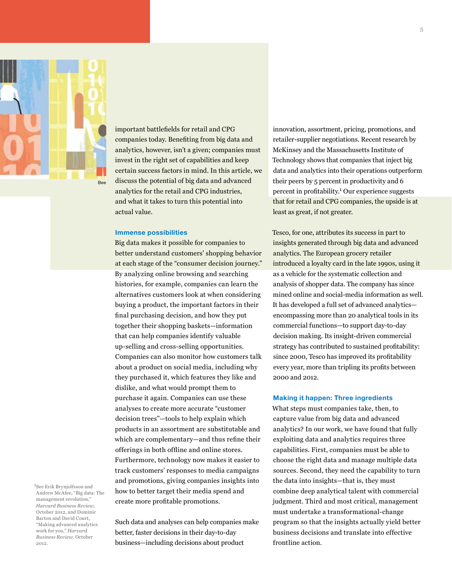

1 See Erik Brynjolfsson and Andrew McAfee, "Big data: The management revolution," *Harvard Business Review*,

Barton and David Court,

work for you," *Harvard Business Review*, October

2012.

important battlefields for retail and CPG companies today. Benefiting from big data and analytics, however, isn't a given; companies must invest in the right set of capabilities and keep certain success factors in mind. In this article, we discuss the potential of big data and advanced analytics for the retail and CPG industries, and what it takes to turn this potential into actual value.

# Immense possibilities

Big data makes it possible for companies to better understand customers' shopping behavior at each stage of the "consumer decision journey." By analyzing online browsing and searching histories, for example, companies can learn the alternatives customers look at when considering buying a product, the important factors in their final purchasing decision, and how they put together their shopping baskets—information that can help companies identify valuable up-selling and cross-selling opportunities. Companies can also monitor how customers talk about a product on social media, including why they purchased it, which features they like and dislike, and what would prompt them to purchase it again. Companies can use these analyses to create more accurate "customer decision trees"—tools to help explain which products in an assortment are substitutable and which are complementary—and thus refine their offerings in both offline and online stores. Furthermore, technology now makes it easier to track customers' responses to media campaigns and promotions, giving companies insights into how to better target their media spend and create more profitable promotions.

Such data and analyses can help companies make better, faster decisions in their day-to-day business—including decisions about product October 2012, and Dominic "Making advanced analytics

innovation, assortment, pricing, promotions, and retailer-supplier negotiations. Recent research by McKinsey and the Massachusetts Institute of Technology shows that companies that inject big data and analytics into their operations outperform their peers by 5 percent in productivity and 6 percent in profitability.<sup>1</sup> Our experience suggests that for retail and CPG companies, the upside is at least as great, if not greater.

Tesco, for one, attributes its success in part to insights generated through big data and advanced analytics. The European grocery retailer introduced a loyalty card in the late 1990s, using it as a vehicle for the systematic collection and analysis of shopper data. The company has since mined online and social-media information as well. It has developed a full set of advanced analytics encompassing more than 20 analytical tools in its commercial functions—to support day-to-day decision making. Its insight-driven commercial strategy has contributed to sustained profitability: since 2000, Tesco has improved its profitability every year, more than tripling its profits between 2000 and 2012.

# Making it happen: Three ingredients

What steps must companies take, then, to capture value from big data and advanced analytics? In our work, we have found that fully exploiting data and analytics requires three capabilities. First, companies must be able to choose the right data and manage multiple data sources. Second, they need the capability to turn the data into insights—that is, they must combine deep analytical talent with commercial judgment. Third and most critical, management must undertake a transformational-change program so that the insights actually yield better business decisions and translate into effective frontline action.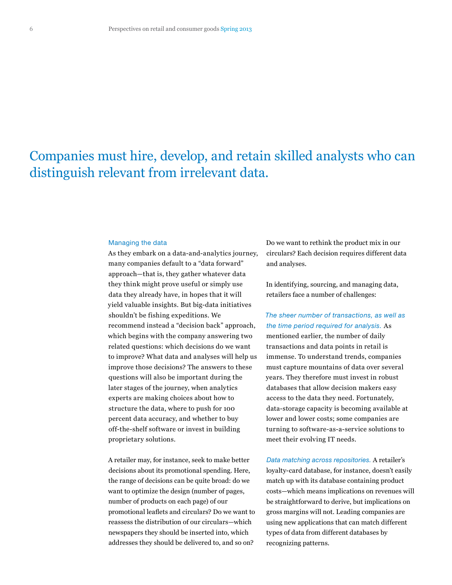# Companies must hire, develop, and retain skilled analysts who can distinguish relevant from irrelevant data.

### Managing the data

As they embark on a data-and-analytics journey, many companies default to a "data forward" approach—that is, they gather whatever data they think might prove useful or simply use data they already have, in hopes that it will yield valuable insights. But big-data initiatives shouldn't be fishing expeditions. We recommend instead a "decision back" approach, which begins with the company answering two related questions: which decisions do we want to improve? What data and analyses will help us improve those decisions? The answers to these questions will also be important during the later stages of the journey, when analytics experts are making choices about how to structure the data, where to push for 100 percent data accuracy, and whether to buy off-the-shelf software or invest in building proprietary solutions.

A retailer may, for instance, seek to make better decisions about its promotional spending. Here, the range of decisions can be quite broad: do we want to optimize the design (number of pages, number of products on each page) of our promotional leaflets and circulars? Do we want to reassess the distribution of our circulars—which newspapers they should be inserted into, which addresses they should be delivered to, and so on?

Do we want to rethink the product mix in our circulars? Each decision requires different data and analyses.

In identifying, sourcing, and managing data, retailers face a number of challenges:

# *The sheer number of transactions, as well as the time period required for analysis.* As

mentioned earlier, the number of daily transactions and data points in retail is immense. To understand trends, companies must capture mountains of data over several years. They therefore must invest in robust databases that allow decision makers easy access to the data they need. Fortunately, data-storage capacity is becoming available at lower and lower costs; some companies are turning to software-as-a-service solutions to meet their evolving IT needs.

*Data matching across repositories.* A retailer's loyalty-card database, for instance, doesn't easily match up with its database containing product costs—which means implications on revenues will be straightforward to derive, but implications on gross margins will not. Leading companies are using new applications that can match different types of data from different databases by recognizing patterns.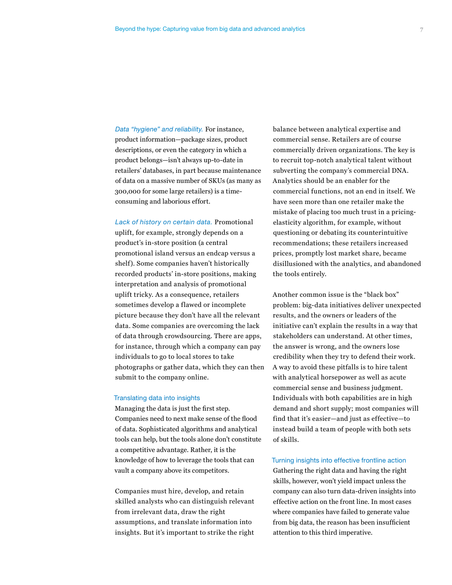*Data "hygiene" and reliability.* For instance, product information—package sizes, product descriptions, or even the category in which a product belongs—isn't always up-to-date in retailers' databases, in part because maintenance of data on a massive number of SKUs (as many as 300,000 for some large retailers) is a timeconsuming and laborious effort.

*Lack of history on certain data.* Promotional uplift, for example, strongly depends on a product's in-store position (a central promotional island versus an endcap versus a shelf). Some companies haven't historically recorded products' in-store positions, making interpretation and analysis of promotional uplift tricky. As a consequence, retailers sometimes develop a flawed or incomplete picture because they don't have all the relevant data. Some companies are overcoming the lack of data through crowdsourcing. There are apps, for instance, through which a company can pay individuals to go to local stores to take photographs or gather data, which they can then submit to the company online.

## Translating data into insights

Managing the data is just the first step. Companies need to next make sense of the flood of data. Sophisticated algorithms and analytical tools can help, but the tools alone don't constitute a competitive advantage. Rather, it is the knowledge of how to leverage the tools that can vault a company above its competitors.

Companies must hire, develop, and retain skilled analysts who can distinguish relevant from irrelevant data, draw the right assumptions, and translate information into insights. But it's important to strike the right

balance between analytical expertise and commercial sense. Retailers are of course commercially driven organizations. The key is to recruit top-notch analytical talent without subverting the company's commercial DNA. Analytics should be an enabler for the commercial functions, not an end in itself. We have seen more than one retailer make the mistake of placing too much trust in a pricingelasticity algorithm, for example, without questioning or debating its counterintuitive recommendations; these retailers increased prices, promptly lost market share, became disillusioned with the analytics, and abandoned the tools entirely.

Another common issue is the "black box" problem: big-data initiatives deliver unexpected results, and the owners or leaders of the initiative can't explain the results in a way that stakeholders can understand. At other times, the answer is wrong, and the owners lose credibility when they try to defend their work. A way to avoid these pitfalls is to hire talent with analytical horsepower as well as acute commercial sense and business judgment. Individuals with both capabilities are in high demand and short supply; most companies will find that it's easier—and just as effective—to instead build a team of people with both sets of skills.

## Turning insights into effective frontline action

Gathering the right data and having the right skills, however, won't yield impact unless the company can also turn data-driven insights into effective action on the front line. In most cases where companies have failed to generate value from big data, the reason has been insufficient attention to this third imperative.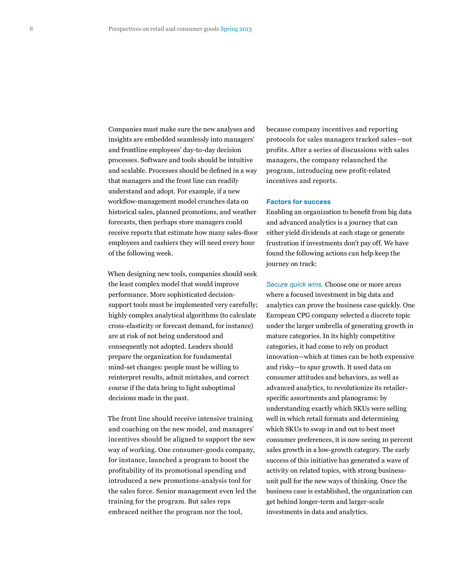Companies must make sure the new analyses and insights are embedded seamlessly into managers' and frontline employees' day-to-day decision processes. Software and tools should be intuitive and scalable. Processes should be defined in a way that managers and the front line can readily understand and adopt. For example, if a new workflow-management model crunches data on historical sales, planned promotions, and weather forecasts, then perhaps store managers could receive reports that estimate how many sales-floor employees and cashiers they will need every hour of the following week.

When designing new tools, companies should seek the least complex model that would improve performance. More sophisticated decisionsupport tools must be implemented very carefully; highly complex analytical algorithms (to calculate cross-elasticity or forecast demand, for instance) are at risk of not being understood and consequently not adopted. Leaders should prepare the organization for fundamental mind-set changes: people must be willing to reinterpret results, admit mistakes, and correct course if the data bring to light suboptimal decisions made in the past.

The front line should receive intensive training and coaching on the new model, and managers' incentives should be aligned to support the new way of working. One consumer-goods company, for instance, launched a program to boost the profitability of its promotional spending and introduced a new promotions-analysis tool for the sales force. Senior management even led the training for the program. But sales reps embraced neither the program nor the tool,

because company incentives and reporting protocols for sales managers tracked sales—not profits. After a series of discussions with sales managers, the company relaunched the program, introducing new profit-related incentives and reports.

## Factors for success

Enabling an organization to benefit from big data and advanced analytics is a journey that can either yield dividends at each stage or generate frustration if investments don't pay off. We have found the following actions can help keep the journey on track:

*Secure quick wins.* Choose one or more areas where a focused investment in big data and analytics can prove the business case quickly. One European CPG company selected a discrete topic under the larger umbrella of generating growth in mature categories. In its highly competitive categories, it had come to rely on product innovation—which at times can be both expensive and risky—to spur growth. It used data on consumer attitudes and behaviors, as well as advanced analytics, to revolutionize its retailerspecific assortments and planograms: by understanding exactly which SKUs were selling well in which retail formats and determining which SKUs to swap in and out to best meet consumer preferences, it is now seeing 10 percent sales growth in a low-growth category. The early success of this initiative has generated a wave of activity on related topics, with strong businessunit pull for the new ways of thinking. Once the business case is established, the organization can get behind longer-term and larger-scale investments in data and analytics.